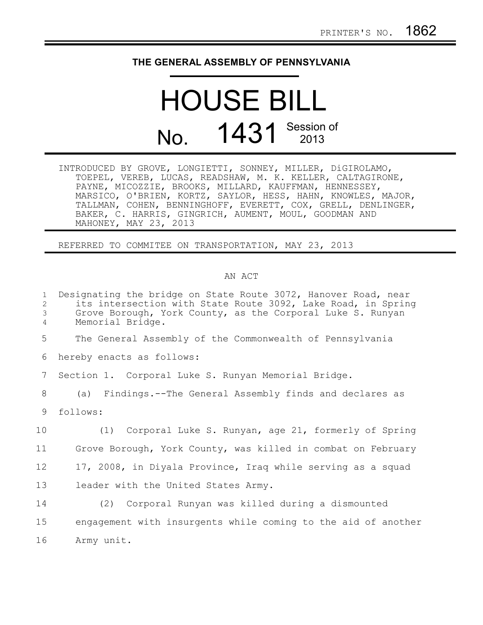## **THE GENERAL ASSEMBLY OF PENNSYLVANIA**

## HOUSE BILL No. 1431 Session of

INTRODUCED BY GROVE, LONGIETTI, SONNEY, MILLER, DiGIROLAMO, TOEPEL, VEREB, LUCAS, READSHAW, M. K. KELLER, CALTAGIRONE, PAYNE, MICOZZIE, BROOKS, MILLARD, KAUFFMAN, HENNESSEY, MARSICO, O'BRIEN, KORTZ, SAYLOR, HESS, HAHN, KNOWLES, MAJOR, TALLMAN, COHEN, BENNINGHOFF, EVERETT, COX, GRELL, DENLINGER, BAKER, C. HARRIS, GINGRICH, AUMENT, MOUL, GOODMAN AND MAHONEY, MAY 23, 2013

REFERRED TO COMMITEE ON TRANSPORTATION, MAY 23, 2013

## AN ACT

| $\mathbf{1}$<br>2<br>3<br>4 | Designating the bridge on State Route 3072, Hanover Road, near<br>its intersection with State Route 3092, Lake Road, in Spring<br>Grove Borough, York County, as the Corporal Luke S. Runyan<br>Memorial Bridge. |
|-----------------------------|------------------------------------------------------------------------------------------------------------------------------------------------------------------------------------------------------------------|
| 5                           | The General Assembly of the Commonwealth of Pennsylvania                                                                                                                                                         |
| 6                           | hereby enacts as follows:                                                                                                                                                                                        |
| 7                           | Section 1. Corporal Luke S. Runyan Memorial Bridge.                                                                                                                                                              |
| 8                           | (a) Findings.--The General Assembly finds and declares as                                                                                                                                                        |
| 9                           | follows:                                                                                                                                                                                                         |
| 10                          | (1) Corporal Luke S. Runyan, age 21, formerly of Spring                                                                                                                                                          |
| 11                          | Grove Borough, York County, was killed in combat on February                                                                                                                                                     |
| 12                          | 17, 2008, in Diyala Province, Iraq while serving as a squad                                                                                                                                                      |
| 13                          | leader with the United States Army.                                                                                                                                                                              |
| 14                          | (2) Corporal Runyan was killed during a dismounted                                                                                                                                                               |
| 15                          | engagement with insurgents while coming to the aid of another                                                                                                                                                    |
| 16                          | Army unit.                                                                                                                                                                                                       |
|                             |                                                                                                                                                                                                                  |